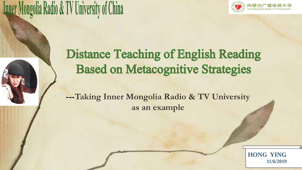

## **Inner Mongolia Radio & TV University of China**

## **Distance Teaching of English Reading Based on Metacognitive Strategies**

**---Taking Inner Mongolia Radio & TV University as an example**

> **HONG YING 11/6/2019**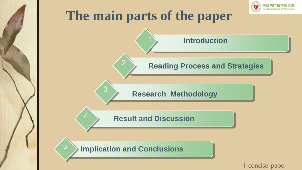

## **The main parts of the paper**

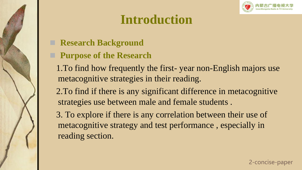

## **Introduction**

- **Research Background**
- **Purpose of the Research** 
	- 1.To find how frequently the first- year non-English majors use metacognitive strategies in their reading.
	- 2.To find if there is any significant difference in metacognitive strategies use between male and female students .

3. To explore if there is any correlation between their use of metacognitive strategy and test performance , especially in reading section.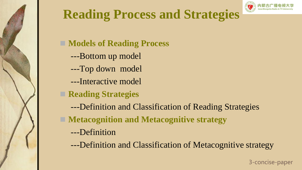



■ **Models of Reading Process** 

- ---Bottom up model
- ---Top down model
- ---Interactive model
- **Reading Strategies** 
	- ---Definition and Classification of Reading Strategies
- **Metacognition and Metacognitive strategy** 
	- ---Definition
	- ---Definition and Classification of Metacognitive strategy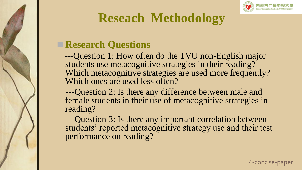

## **Reseach Methodology**

### **■ Research Questions**

---Question 1: How often do the TVU non-English major students use metacognitive strategies in their reading? Which metacognitive strategies are used more frequently? Which ones are used less often?

---Question 2: Is there any difference between male and female students in their use of metacognitive strategies in reading?

---Question 3: Is there any important correlation between students' reported metacognitive strategy use and their test performance on reading?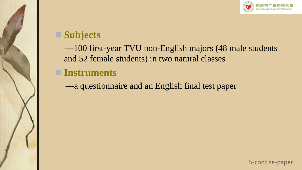

## ◼ **Subjects**

---100 first-year TVU non-English majors (48 male students and 52 female students) in two natural classes

### ■ **Instruments**

---a questionnaire and an English final test paper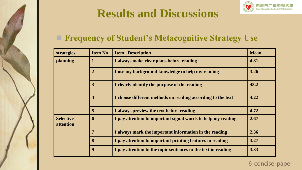





### ■ **Frequency of Student's Metacognitive Strategy Use**

| strategies                    | <b>Item No</b>          | <b>Item Description</b>                                       | <b>Mean</b> |
|-------------------------------|-------------------------|---------------------------------------------------------------|-------------|
| planning                      |                         | I always make clear plans before reading                      | 4.81        |
|                               | $\overline{2}$          | I use my background knowledge to help my reading              | 3.26        |
|                               | 3                       | I clearly identify the purpose of the reading                 | 43.2        |
|                               | $\overline{\mathbf{4}}$ | I choose different methods on reading according to the text   | 4.22        |
|                               | 5                       | I always preview the text before reading                      | 4.72        |
| <b>Selective</b><br>attention | 6                       | I pay attention to important signal words to help my reading  | 2.67        |
|                               | 7                       | I always mark the important information in the reading        | 2.36        |
|                               | 8                       | I pay attention to important printing features in reading     | 3.27        |
|                               | 9                       | I pay attention to the topic sentences in the text in reading | 3.33        |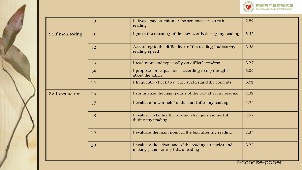

|                 | 10 | I always pay attention to the sentence structure in<br>reading                               | 2.89            |
|-----------------|----|----------------------------------------------------------------------------------------------|-----------------|
| Self monitoring | 11 | I guess the meaning of the new words during my reading                                       | 3.55            |
|                 | 12 | According to the difficulties of the reading I adjust my<br>reading speed                    | 3.58            |
|                 | 13 | I read more and repeatedly on difficult reading                                              | 3.37            |
|                 | 14 | I propose some questions according to my thoughts<br>about the article                       | 3.09            |
|                 | 15 | I frequently check to see if I understand the contents                                       | 3.02            |
| Self evaluation | 16 | I summarize the main points of the text after my reading                                     | 2.32            |
|                 | 17 | I evaluate how much I understand after my reading                                            | 1.74            |
|                 | 18 | I evaluate whether the reading strategies are useful<br>during my reading                    | 2.97            |
|                 | 19 | I evaluate the main point of the text after my reading                                       | 2.34            |
|                 | 20 | I evaluate the advantage of the reading strategies and<br>making plans for my future reading | 3.32            |
|                 |    |                                                                                              | 7-concise-paper |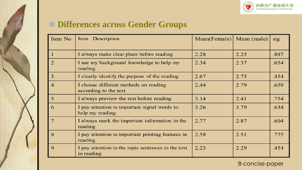

### ■ Differences across Gender Groups

| Item No        | Item Description                                                 | Mean(Female) | Mean (male) | sig  |
|----------------|------------------------------------------------------------------|--------------|-------------|------|
|                | I always make clear plans before reading                         | 2.28         | 2.25        | .887 |
| $\overline{2}$ | I use my background knowledge to help my<br>reading              | 2.34         | 2.37        | .654 |
| $\overline{3}$ | I clearly identify the purpose of the reading                    | 2.67         | 2.75        | .454 |
| $\overline{4}$ | I choose different methods on reading<br>according to the text   | 2.44         | 2.79        | .659 |
| $\overline{5}$ | I always preview the text before reading                         | 3.14         | 2.41        | .754 |
| 6              | I pay attention to important signal words to<br>help my reading  | 3.26         | 3.79        | .634 |
| $\overline{7}$ | I always mark the important information in the<br>reading        | 2.77         | 2.87        | .604 |
| 8              | I pay attention to important printing features in<br>reading     | 2.58         | 2.51        | .775 |
| $\mathbf Q$    | I pay attention to the topic sentences in the text<br>in reading | 2.23         | 2.29        | .454 |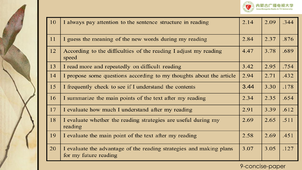

| 10 | I always pay attention to the sentence structure in reading                                  | 2.14 | 2.09 | .344 |
|----|----------------------------------------------------------------------------------------------|------|------|------|
| 11 | I guess the meaning of the new words during my reading                                       | 2.84 | 2.37 | .876 |
| 12 | According to the difficulties of the reading I adjust my reading<br>speed                    | 4.47 | 3.78 | .689 |
| 13 | I read more and repeatedly on difficult reading                                              | 3.42 | 2.95 | .754 |
| 14 | I propose some questions according to my thoughts about the article                          | 2.94 | 2.71 | .432 |
| 15 | I frequently check to see if I understand the contents                                       | 3.44 | 3.30 | .178 |
| 16 | I summarize the main points of the text after my reading                                     | 2.34 | 2.35 | .654 |
| 17 | I evaluate how much I understand after my reading                                            | 2.91 | 3.39 | .612 |
| 18 | I evaluate whether the reading strategies are useful during my<br>reading                    | 2.69 | 2.65 | .511 |
| 19 | I evaluate the main point of the text after my reading                                       | 2.58 | 2.69 | .451 |
| 20 | I evaluate the advantage of the reading strategies and making plans<br>for my future reading | 3.07 | 3.05 | .127 |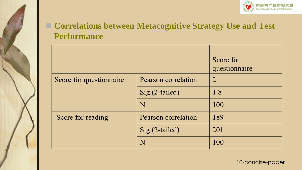

### ■ **Correlations between Metacognitive Strategy Use and Test Performance**

|                         |                            | Score for<br>questionnaire |
|-------------------------|----------------------------|----------------------------|
| Score for questionnaire | Pearson correlation        | $\overline{2}$             |
|                         | $Sig.(2-tailed)$           | 1.8                        |
|                         | N                          | 100                        |
| Score for reading       | <b>Pearson correlation</b> | 189                        |
|                         | $Sig.(2-tailed)$           | 201                        |
|                         | N                          | 100                        |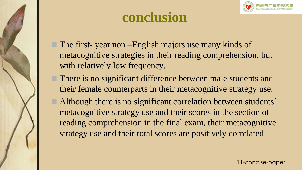

## **conclusion**

- The first- year non –English majors use many kinds of metacognitive strategies in their reading comprehension, but with relatively low frequency.
- There is no significant difference between male students and their female counterparts in their metacognitive strategy use.
- Although there is no significant correlation between students metacognitive strategy use and their scores in the section of reading comprehension in the final exam, their metacognitive strategy use and their total scores are positively correlated

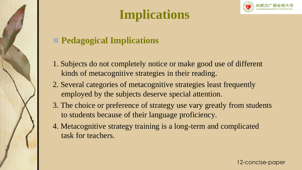

## **Implications**



### ■ **Pedagogical Implications**

- 1. Subjects do not completely notice or make good use of different kinds of metacognitive strategies in their reading.
- 2. Several categories of metacognitive strategies least frequently employed by the subjects deserve special attention.
- 3. The choice or preference of strategy use vary greatly from students to students because of their language proficiency.
- 4. Metacognitive strategy training is a long-term and complicated task for teachers.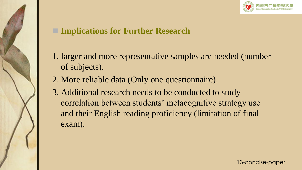

### **■ Implications for Further Research**

- 1. larger and more representative samples are needed (number of subjects).
- 2. More reliable data (Only one questionnaire).
- 3. Additional research needs to be conducted to study correlation between students' metacognitive strategy use and their English reading proficiency (limitation of final exam).